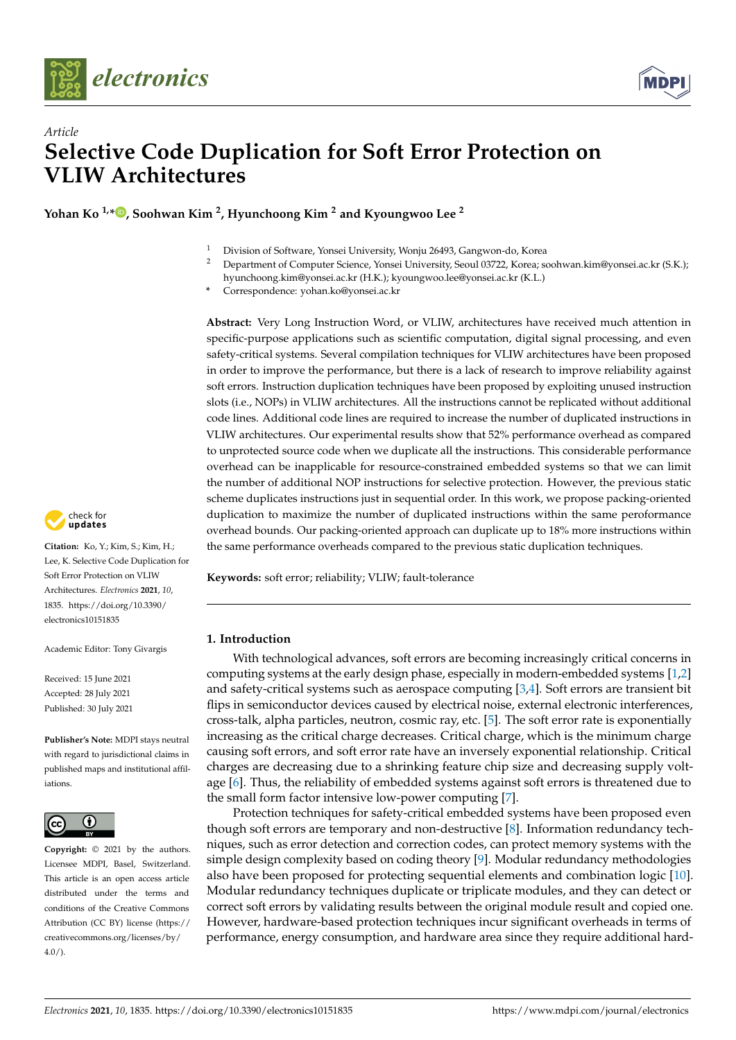



# *Article* **Selective Code Duplication for Soft Error Protection on VLIW Architectures**

**Yohan Ko 1,[\\*](https://orcid.org/0000-0002-9456-0927) , Soohwan Kim <sup>2</sup> , Hyunchoong Kim <sup>2</sup> and Kyoungwoo Lee <sup>2</sup>**

- <sup>1</sup> Division of Software, Yonsei University, Wonju 26493, Gangwon-do, Korea
- <sup>2</sup> Department of Computer Science, Yonsei University, Seoul 03722, Korea; soohwan.kim@yonsei.ac.kr (S.K.); hyunchoong.kim@yonsei.ac.kr (H.K.); kyoungwoo.lee@yonsei.ac.kr (K.L.)
- **\*** Correspondence: yohan.ko@yonsei.ac.kr

**Abstract:** Very Long Instruction Word, or VLIW, architectures have received much attention in specific-purpose applications such as scientific computation, digital signal processing, and even safety-critical systems. Several compilation techniques for VLIW architectures have been proposed in order to improve the performance, but there is a lack of research to improve reliability against soft errors. Instruction duplication techniques have been proposed by exploiting unused instruction slots (i.e., NOPs) in VLIW architectures. All the instructions cannot be replicated without additional code lines. Additional code lines are required to increase the number of duplicated instructions in VLIW architectures. Our experimental results show that 52% performance overhead as compared to unprotected source code when we duplicate all the instructions. This considerable performance overhead can be inapplicable for resource-constrained embedded systems so that we can limit the number of additional NOP instructions for selective protection. However, the previous static scheme duplicates instructions just in sequential order. In this work, we propose packing-oriented duplication to maximize the number of duplicated instructions within the same peroformance overhead bounds. Our packing-oriented approach can duplicate up to 18% more instructions within the same performance overheads compared to the previous static duplication techniques.

**Keywords:** soft error; reliability; VLIW; fault-tolerance

# **1. Introduction**

With technological advances, soft errors are becoming increasingly critical concerns in computing systems at the early design phase, especially in modern-embedded systems [\[1](#page-10-0)[,2\]](#page-10-1) and safety-critical systems such as aerospace computing [\[3](#page-10-2)[,4\]](#page-10-3). Soft errors are transient bit flips in semiconductor devices caused by electrical noise, external electronic interferences, cross-talk, alpha particles, neutron, cosmic ray, etc. [\[5\]](#page-10-4). The soft error rate is exponentially increasing as the critical charge decreases. Critical charge, which is the minimum charge causing soft errors, and soft error rate have an inversely exponential relationship. Critical charges are decreasing due to a shrinking feature chip size and decreasing supply voltage [\[6\]](#page-10-5). Thus, the reliability of embedded systems against soft errors is threatened due to the small form factor intensive low-power computing [\[7\]](#page-10-6).

Protection techniques for safety-critical embedded systems have been proposed even though soft errors are temporary and non-destructive [\[8\]](#page-10-7). Information redundancy techniques, such as error detection and correction codes, can protect memory systems with the simple design complexity based on coding theory [\[9\]](#page-10-8). Modular redundancy methodologies also have been proposed for protecting sequential elements and combination logic [\[10\]](#page-10-9). Modular redundancy techniques duplicate or triplicate modules, and they can detect or correct soft errors by validating results between the original module result and copied one. However, hardware-based protection techniques incur significant overheads in terms of performance, energy consumption, and hardware area since they require additional hard-



**Citation:** Ko, Y.; Kim, S.; Kim, H.; Lee, K. Selective Code Duplication for Soft Error Protection on VLIW Architectures. *Electronics* **2021**, *10*, 1835. [https://doi.org/10.3390/](https://doi.org/10.3390/electronics10151835) [electronics10151835](https://doi.org/10.3390/electronics10151835)

Academic Editor: Tony Givargis

Received: 15 June 2021 Accepted: 28 July 2021 Published: 30 July 2021

**Publisher's Note:** MDPI stays neutral with regard to jurisdictional claims in published maps and institutional affiliations.



**Copyright:** © 2021 by the authors. Licensee MDPI, Basel, Switzerland. This article is an open access article distributed under the terms and conditions of the Creative Commons Attribution (CC BY) license (https:/[/](https://creativecommons.org/licenses/by/4.0/) [creativecommons.org/licenses/by/](https://creativecommons.org/licenses/by/4.0/)  $4.0/$ ).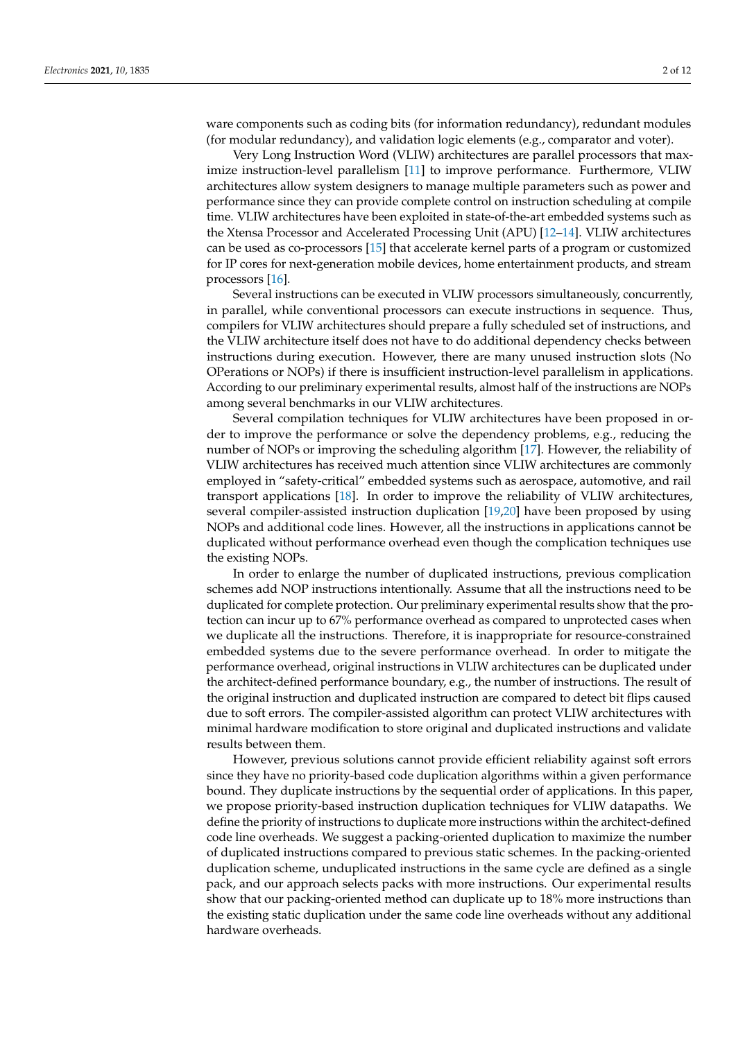ware components such as coding bits (for information redundancy), redundant modules (for modular redundancy), and validation logic elements (e.g., comparator and voter).

Very Long Instruction Word (VLIW) architectures are parallel processors that maximize instruction-level parallelism [\[11\]](#page-10-10) to improve performance. Furthermore, VLIW architectures allow system designers to manage multiple parameters such as power and performance since they can provide complete control on instruction scheduling at compile time. VLIW architectures have been exploited in state-of-the-art embedded systems such as the Xtensa Processor and Accelerated Processing Unit (APU) [\[12](#page-10-11)[–14\]](#page-10-12). VLIW architectures can be used as co-processors [\[15\]](#page-10-13) that accelerate kernel parts of a program or customized for IP cores for next-generation mobile devices, home entertainment products, and stream processors [\[16\]](#page-10-14).

Several instructions can be executed in VLIW processors simultaneously, concurrently, in parallel, while conventional processors can execute instructions in sequence. Thus, compilers for VLIW architectures should prepare a fully scheduled set of instructions, and the VLIW architecture itself does not have to do additional dependency checks between instructions during execution. However, there are many unused instruction slots (No OPerations or NOPs) if there is insufficient instruction-level parallelism in applications. According to our preliminary experimental results, almost half of the instructions are NOPs among several benchmarks in our VLIW architectures.

Several compilation techniques for VLIW architectures have been proposed in order to improve the performance or solve the dependency problems, e.g., reducing the number of NOPs or improving the scheduling algorithm [\[17\]](#page-10-15). However, the reliability of VLIW architectures has received much attention since VLIW architectures are commonly employed in "safety-critical" embedded systems such as aerospace, automotive, and rail transport applications [\[18\]](#page-10-16). In order to improve the reliability of VLIW architectures, several compiler-assisted instruction duplication [\[19](#page-10-17)[,20\]](#page-10-18) have been proposed by using NOPs and additional code lines. However, all the instructions in applications cannot be duplicated without performance overhead even though the complication techniques use the existing NOPs.

In order to enlarge the number of duplicated instructions, previous complication schemes add NOP instructions intentionally. Assume that all the instructions need to be duplicated for complete protection. Our preliminary experimental results show that the protection can incur up to 67% performance overhead as compared to unprotected cases when we duplicate all the instructions. Therefore, it is inappropriate for resource-constrained embedded systems due to the severe performance overhead. In order to mitigate the performance overhead, original instructions in VLIW architectures can be duplicated under the architect-defined performance boundary, e.g., the number of instructions. The result of the original instruction and duplicated instruction are compared to detect bit flips caused due to soft errors. The compiler-assisted algorithm can protect VLIW architectures with minimal hardware modification to store original and duplicated instructions and validate results between them.

However, previous solutions cannot provide efficient reliability against soft errors since they have no priority-based code duplication algorithms within a given performance bound. They duplicate instructions by the sequential order of applications. In this paper, we propose priority-based instruction duplication techniques for VLIW datapaths. We define the priority of instructions to duplicate more instructions within the architect-defined code line overheads. We suggest a packing-oriented duplication to maximize the number of duplicated instructions compared to previous static schemes. In the packing-oriented duplication scheme, unduplicated instructions in the same cycle are defined as a single pack, and our approach selects packs with more instructions. Our experimental results show that our packing-oriented method can duplicate up to 18% more instructions than the existing static duplication under the same code line overheads without any additional hardware overheads.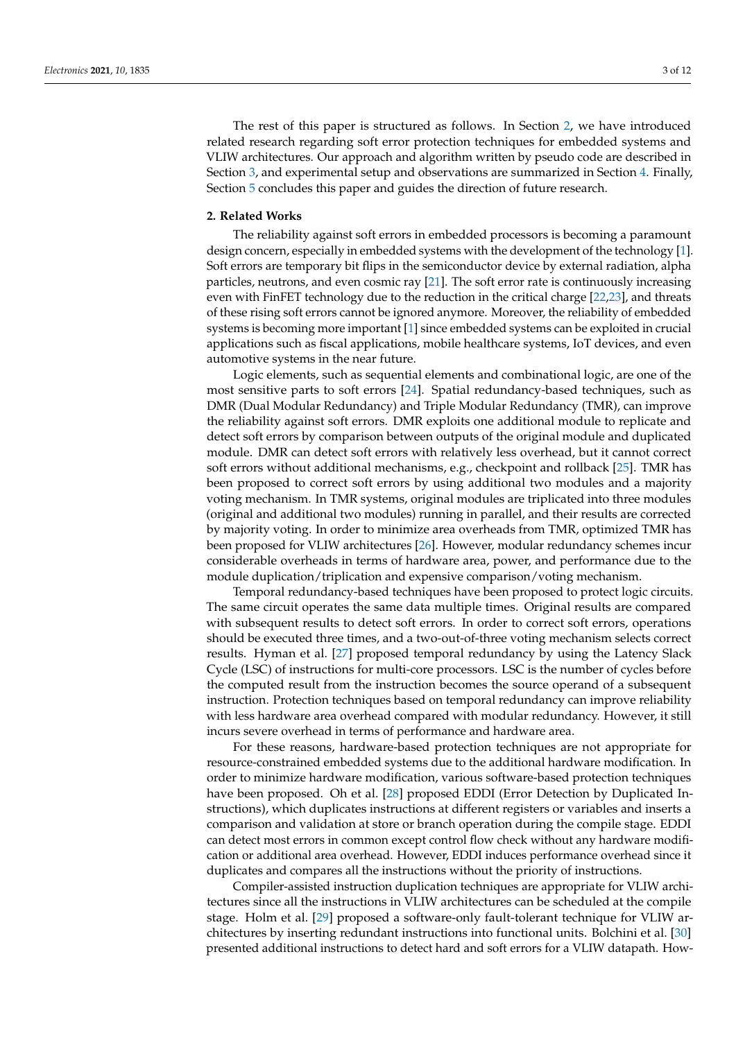The rest of this paper is structured as follows. In Section [2,](#page-2-0) we have introduced related research regarding soft error protection techniques for embedded systems and VLIW architectures. Our approach and algorithm written by pseudo code are described in Section [3,](#page-3-0) and experimental setup and observations are summarized in Section [4.](#page-7-0) Finally, Section [5](#page-9-0) concludes this paper and guides the direction of future research.

#### <span id="page-2-0"></span>**2. Related Works**

The reliability against soft errors in embedded processors is becoming a paramount design concern, especially in embedded systems with the development of the technology [\[1\]](#page-10-0). Soft errors are temporary bit flips in the semiconductor device by external radiation, alpha particles, neutrons, and even cosmic ray [\[21\]](#page-10-19). The soft error rate is continuously increasing even with FinFET technology due to the reduction in the critical charge [\[22,](#page-10-20)[23\]](#page-10-21), and threats of these rising soft errors cannot be ignored anymore. Moreover, the reliability of embedded systems is becoming more important [\[1\]](#page-10-0) since embedded systems can be exploited in crucial applications such as fiscal applications, mobile healthcare systems, IoT devices, and even automotive systems in the near future.

Logic elements, such as sequential elements and combinational logic, are one of the most sensitive parts to soft errors [\[24\]](#page-10-22). Spatial redundancy-based techniques, such as DMR (Dual Modular Redundancy) and Triple Modular Redundancy (TMR), can improve the reliability against soft errors. DMR exploits one additional module to replicate and detect soft errors by comparison between outputs of the original module and duplicated module. DMR can detect soft errors with relatively less overhead, but it cannot correct soft errors without additional mechanisms, e.g., checkpoint and rollback [\[25\]](#page-10-23). TMR has been proposed to correct soft errors by using additional two modules and a majority voting mechanism. In TMR systems, original modules are triplicated into three modules (original and additional two modules) running in parallel, and their results are corrected by majority voting. In order to minimize area overheads from TMR, optimized TMR has been proposed for VLIW architectures [\[26\]](#page-10-24). However, modular redundancy schemes incur considerable overheads in terms of hardware area, power, and performance due to the module duplication/triplication and expensive comparison/voting mechanism.

Temporal redundancy-based techniques have been proposed to protect logic circuits. The same circuit operates the same data multiple times. Original results are compared with subsequent results to detect soft errors. In order to correct soft errors, operations should be executed three times, and a two-out-of-three voting mechanism selects correct results. Hyman et al. [\[27\]](#page-10-25) proposed temporal redundancy by using the Latency Slack Cycle (LSC) of instructions for multi-core processors. LSC is the number of cycles before the computed result from the instruction becomes the source operand of a subsequent instruction. Protection techniques based on temporal redundancy can improve reliability with less hardware area overhead compared with modular redundancy. However, it still incurs severe overhead in terms of performance and hardware area.

For these reasons, hardware-based protection techniques are not appropriate for resource-constrained embedded systems due to the additional hardware modification. In order to minimize hardware modification, various software-based protection techniques have been proposed. Oh et al. [\[28\]](#page-10-26) proposed EDDI (Error Detection by Duplicated Instructions), which duplicates instructions at different registers or variables and inserts a comparison and validation at store or branch operation during the compile stage. EDDI can detect most errors in common except control flow check without any hardware modification or additional area overhead. However, EDDI induces performance overhead since it duplicates and compares all the instructions without the priority of instructions.

Compiler-assisted instruction duplication techniques are appropriate for VLIW architectures since all the instructions in VLIW architectures can be scheduled at the compile stage. Holm et al. [\[29\]](#page-11-0) proposed a software-only fault-tolerant technique for VLIW architectures by inserting redundant instructions into functional units. Bolchini et al. [\[30\]](#page-11-1) presented additional instructions to detect hard and soft errors for a VLIW datapath. How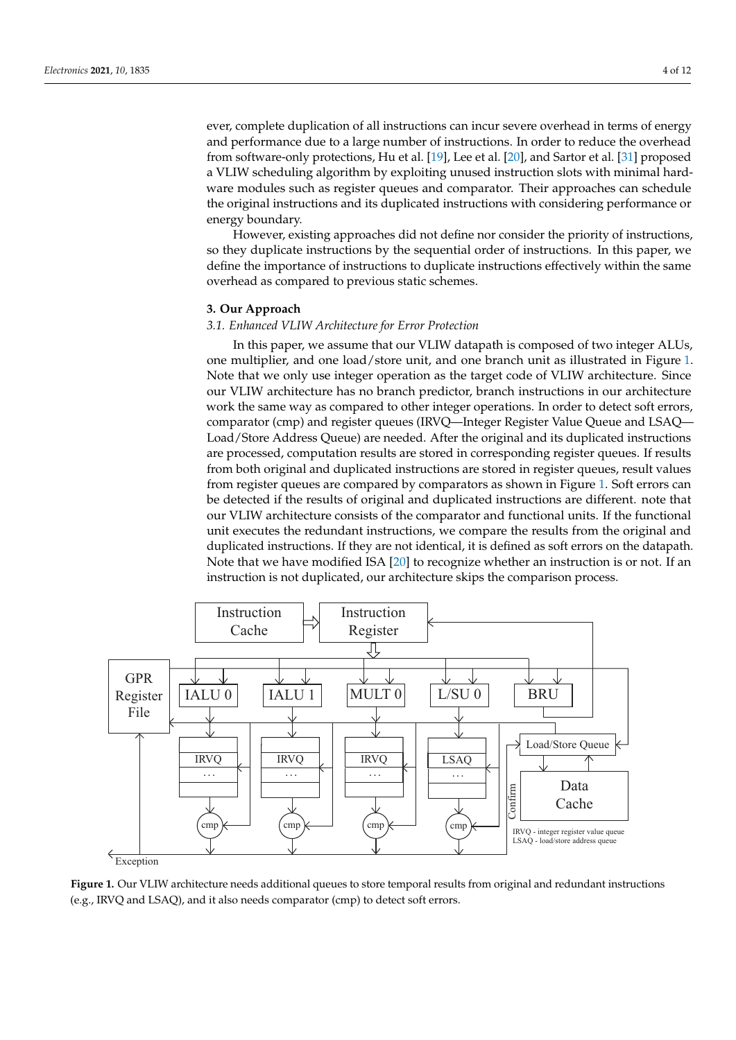ever, complete duplication of all instructions can incur severe overhead in terms of energy and performance due to a large number of instructions. In order to reduce the overhead from software-only protections, Hu et al. [\[19\]](#page-10-17), Lee et al. [\[20\]](#page-10-18), and Sartor et al. [\[31\]](#page-11-2) proposed a VLIW scheduling algorithm by exploiting unused instruction slots with minimal hardware modules such as register queues and comparator. Their approaches can schedule the original instructions and its duplicated instructions with considering performance or energy boundary.

However, existing approaches did not define nor consider the priority of instructions, so they duplicate instructions by the sequential order of instructions. In this paper, we define the importance of instructions to duplicate instructions effectively within the same overhead as compared to previous static schemes.

# <span id="page-3-0"></span>**3. Our Approach**

#### *3.1. Enhanced VLIW Architecture for Error Protection*

In this paper, we assume that our VLIW datapath is composed of two integer ALUs, one multiplier, and one load/store unit, and one branch unit as illustrated in Figure [1.](#page-3-1) Note that we only use integer operation as the target code of VLIW architecture. Since our VLIW architecture has no branch predictor, branch instructions in our architecture work the same way as compared to other integer operations. In order to detect soft errors, comparator (cmp) and register queues (IRVQ—Integer Register Value Queue and LSAQ— Load/Store Address Queue) are needed. After the original and its duplicated instructions are processed, computation results are stored in corresponding register queues. If results from both original and duplicated instructions are stored in register queues, result values from register queues are compared by comparators as shown in Figure [1.](#page-3-1) Soft errors can be detected if the results of original and duplicated instructions are different. note that our VLIW architecture consists of the comparator and functional units. If the functional unit executes the redundant instructions, we compare the results from the original and duplicated instructions. If they are not identical, it is defined as soft errors on the datapath. Note that we have modified ISA [\[20\]](#page-10-18) to recognize whether an instruction is or not. If an instruction is not duplicated, our architecture skips the comparison process.

<span id="page-3-1"></span>

**Figure 1.** Our VLIW architecture needs additional queues to store temporal results from original and redundant instructions (e.g., IRVQ and LSAQ), and it also needs comparator (cmp) to detect soft errors.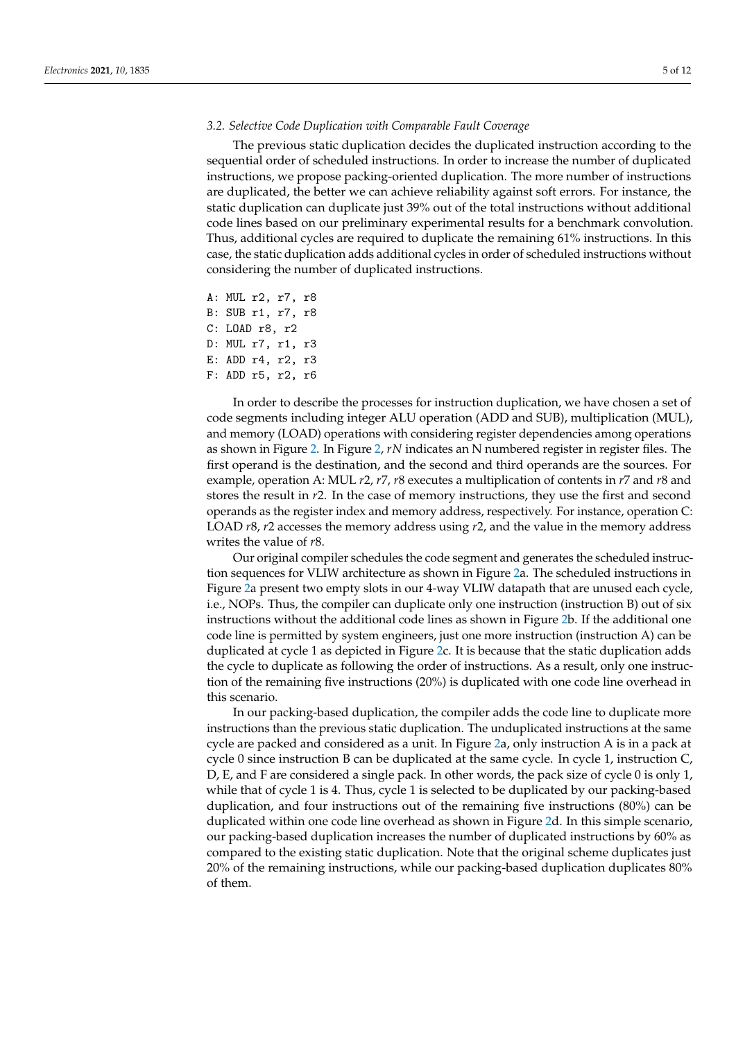#### *3.2. Selective Code Duplication with Comparable Fault Coverage*

The previous static duplication decides the duplicated instruction according to the sequential order of scheduled instructions. In order to increase the number of duplicated instructions, we propose packing-oriented duplication. The more number of instructions are duplicated, the better we can achieve reliability against soft errors. For instance, the static duplication can duplicate just 39% out of the total instructions without additional code lines based on our preliminary experimental results for a benchmark convolution. Thus, additional cycles are required to duplicate the remaining 61% instructions. In this case, the static duplication adds additional cycles in order of scheduled instructions without considering the number of duplicated instructions.

A: MUL r2, r7, r8 B: SUB r1, r7, r8 C: LOAD r8, r2 D: MUL r7, r1, r3 E: ADD r4, r2, r3 F: ADD r5, r2, r6

In order to describe the processes for instruction duplication, we have chosen a set of code segments including integer ALU operation (ADD and SUB), multiplication (MUL), and memory (LOAD) operations with considering register dependencies among operations as shown in Figure [2.](#page-5-0) In Figure [2,](#page-5-0) *rN* indicates an N numbered register in register files. The first operand is the destination, and the second and third operands are the sources. For example, operation A: MUL *r*2, *r*7, *r*8 executes a multiplication of contents in *r*7 and *r*8 and stores the result in *r*2. In the case of memory instructions, they use the first and second operands as the register index and memory address, respectively. For instance, operation C: LOAD *r*8, *r*2 accesses the memory address using *r*2, and the value in the memory address writes the value of *r*8.

Our original compiler schedules the code segment and generates the scheduled instruction sequences for VLIW architecture as shown in Figure [2a](#page-5-0). The scheduled instructions in Figure [2a](#page-5-0) present two empty slots in our 4-way VLIW datapath that are unused each cycle, i.e., NOPs. Thus, the compiler can duplicate only one instruction (instruction B) out of six instructions without the additional code lines as shown in Figure [2b](#page-5-0). If the additional one code line is permitted by system engineers, just one more instruction (instruction A) can be duplicated at cycle 1 as depicted in Figure [2c](#page-5-0). It is because that the static duplication adds the cycle to duplicate as following the order of instructions. As a result, only one instruction of the remaining five instructions (20%) is duplicated with one code line overhead in this scenario.

In our packing-based duplication, the compiler adds the code line to duplicate more instructions than the previous static duplication. The unduplicated instructions at the same cycle are packed and considered as a unit. In Figure [2a](#page-5-0), only instruction A is in a pack at cycle 0 since instruction B can be duplicated at the same cycle. In cycle 1, instruction C, D, E, and F are considered a single pack. In other words, the pack size of cycle 0 is only 1, while that of cycle 1 is 4. Thus, cycle 1 is selected to be duplicated by our packing-based duplication, and four instructions out of the remaining five instructions (80%) can be duplicated within one code line overhead as shown in Figure [2d](#page-5-0). In this simple scenario, our packing-based duplication increases the number of duplicated instructions by 60% as compared to the existing static duplication. Note that the original scheme duplicates just 20% of the remaining instructions, while our packing-based duplication duplicates 80% of them.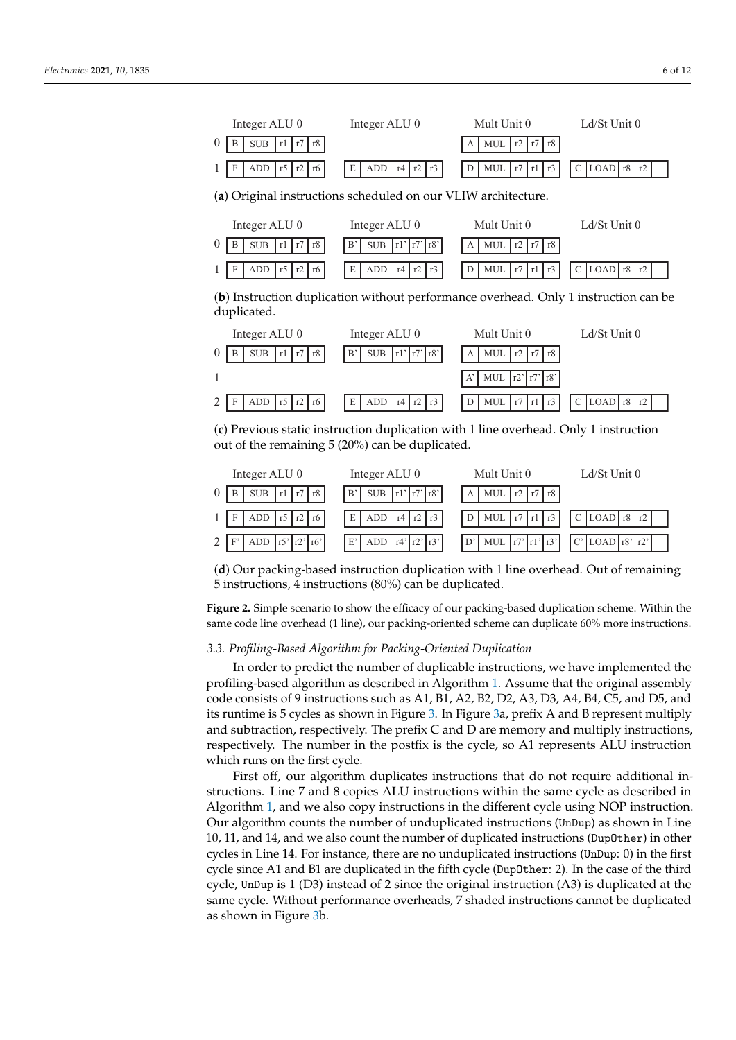<span id="page-5-0"></span>



(**c**) Previous static instruction duplication with 1 line overhead. Only 1 instruction out of the remaining 5 (20%) can be duplicated.



(**d**) Our packing-based instruction duplication with 1 line overhead. Out of remaining 5 instructions, 4 instructions (80%) can be duplicated.

**Figure 2.** Simple scenario to show the efficacy of our packing-based duplication scheme. Within the same code line overhead (1 line), our packing-oriented scheme can duplicate 60% more instructions.

#### *3.3. Profiling-Based Algorithm for Packing-Oriented Duplication*

In order to predict the number of duplicable instructions, we have implemented the profiling-based algorithm as described in Algorithm [1.](#page-6-0) Assume that the original assembly code consists of 9 instructions such as A1, B1, A2, B2, D2, A3, D3, A4, B4, C5, and D5, and its runtime is 5 cycles as shown in Figure [3.](#page-6-1) In Figure [3a](#page-6-1), prefix A and B represent multiply and subtraction, respectively. The prefix C and D are memory and multiply instructions, respectively. The number in the postfix is the cycle, so A1 represents ALU instruction which runs on the first cycle.

First off, our algorithm duplicates instructions that do not require additional instructions. Line 7 and 8 copies ALU instructions within the same cycle as described in Algorithm [1,](#page-6-0) and we also copy instructions in the different cycle using NOP instruction. Our algorithm counts the number of unduplicated instructions (UnDup) as shown in Line 10, 11, and 14, and we also count the number of duplicated instructions (DupOther) in other cycles in Line 14. For instance, there are no unduplicated instructions (UnDup: 0) in the first cycle since A1 and B1 are duplicated in the fifth cycle (DupOther: 2). In the case of the third cycle, UnDup is 1 (D3) instead of 2 since the original instruction (A3) is duplicated at the same cycle. Without performance overheads, 7 shaded instructions cannot be duplicated as shown in Figure [3b](#page-6-1).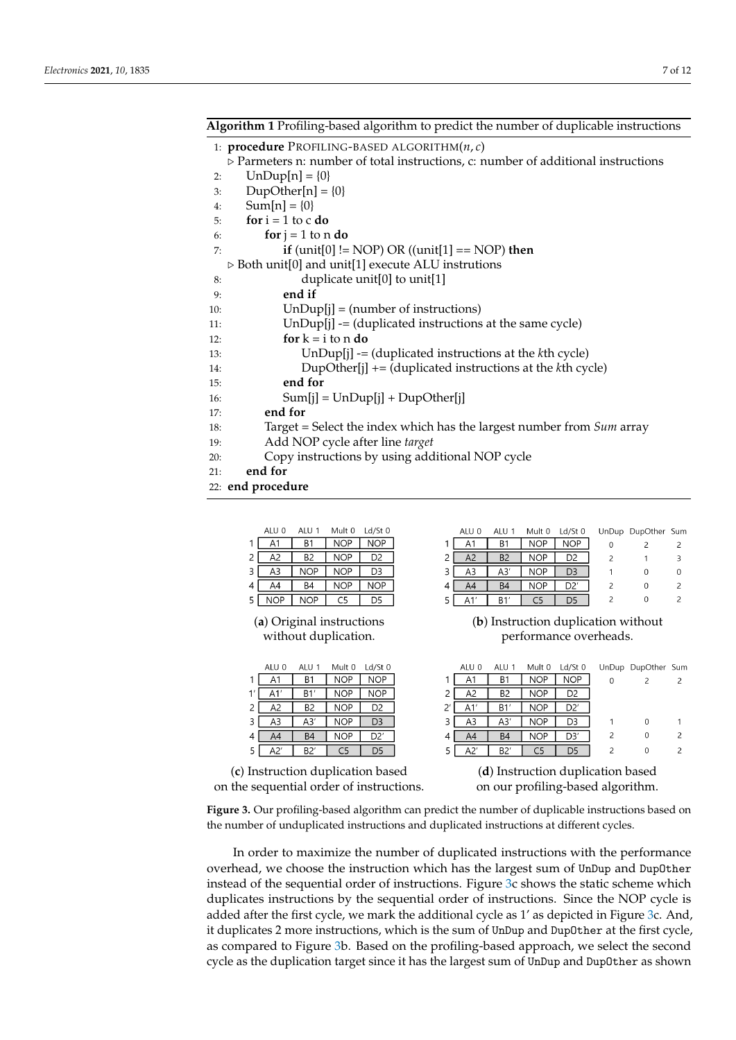# <span id="page-6-0"></span>**Algorithm 1** Profiling-based algorithm to predict the number of duplicable instructions

|  |  | 1: <b>procedure</b> PROFILING-BASED ALGORITHM(n, c) |  |  |
|--|--|-----------------------------------------------------|--|--|
|--|--|-----------------------------------------------------|--|--|

- $\triangleright$  Parmeters n: number of total instructions, c: number of additional instructions 2:  $UnDup[n] = \{0\}$
- 3:  $DupOther[n] = \{0\}$
- 4:  $Sum[n] = \{0\}$
- 5: **for**  $i = 1$  to c **do**
- 6: **for**  $j = 1$  to n **do**
- 7: **if** (unit[0] != NOP) OR ((unit[1] == NOP) **then**

#### $\triangleright$  Both unit[0] and unit[1] execute ALU instrutions

8: duplicate unit[0] to unit[1]

- 9: **end if**
- 10: UnDup[j] = (number of instructions)
- 11: UnDup[j] -= (duplicated instructions at the same cycle)
- 12: **for**  $k = i$  to n **do**
- 13: UnDup[j] -= (duplicated instructions at the *k*th cycle)
- 14: DupOther[j] += (duplicated instructions at the *k*th cycle)
- 15: **end for**
- 16:  $Sum[j] = UnDup[j] + DupOther[j]$
- 17: **end for**
- 18: Target = Select the index which has the largest number from *Sum* array
- 19: Add NOP cycle after line *target*
- 20: Copy instructions by using additional NOP cycle
- 21: **end for**
- <span id="page-6-1"></span>22: **end procedure**

 $\overline{3}$  $\overline{A3}$ 

 $\overline{4}$  $\overline{A4}$  $5 \sqrt{NOP}$ 

 $\overline{1}$  $A1$ 

 $\mathbf{1}$  $\overline{A1}$ 

 $\overline{c}$  $A<sub>z</sub>$ 

 $\overline{3}$ 

 $\overline{4}$ 5  $A<sub>2</sub>$ 

ALU 0  $\overline{A1}$  $\mathbf{1}$  $\overline{c}$  $\overline{A2}$ 

ALU<sub>0</sub>

 $A<sub>3</sub>$ 

 $A4$ 

|                           | ALU 0      | ALU <sub>1</sub> | Mult 0     | $Ld/St$ 0  | ALU 0 | ALU 1          | Mult 0     | $Ld/St$ 0  |                                     | UnDup DupOther Sum |              |
|---------------------------|------------|------------------|------------|------------|-------|----------------|------------|------------|-------------------------------------|--------------------|--------------|
|                           | A1         | B                | NOP        | <b>NOP</b> | A     | B1             | <b>NOP</b> | <b>NOP</b> | $\Omega$                            |                    |              |
|                           | A2         | B <sub>2</sub>   | <b>NOP</b> | D2         | A2    | B <sub>2</sub> | <b>NOP</b> | D2         |                                     |                    | 3            |
|                           | A3         | <b>NOP</b>       | <b>NOP</b> | D3         | A3    | A3'            | <b>NOP</b> | D3         |                                     | 0                  | $\mathbf{0}$ |
|                           | A4         | B4               | <b>NOP</b> | <b>NOP</b> | A4    | B4             | <b>NOP</b> | D2'        |                                     | 0                  |              |
|                           | <b>NOP</b> | <b>NOP</b>       | C5         | D5         | A1'   | <b>B1</b>      |            | D5         |                                     | 0                  |              |
| (a) Original instructions |            |                  |            |            |       |                |            |            | (b) Instruction duplication without |                    |              |

# without duplication. The performance overheads.

|              | ALU 0 | ALU 1          | Mult 0     | $Ld/St$ 0  |   | UnDup DupOther Sum |  |
|--------------|-------|----------------|------------|------------|---|--------------------|--|
|              | Α1    | B1             | <b>NOP</b> | <b>NOP</b> |   |                    |  |
| 2            | A2    | B <sub>2</sub> | <b>NOP</b> | D2         |   |                    |  |
| $2^{\prime}$ | A1'   | B1'            | <b>NOP</b> | D2'        |   |                    |  |
| 3            | A3    | A3'            | <b>NOP</b> | D3         |   | 0                  |  |
| 4            | A4    | B4             | <b>NOP</b> | D3′        | 2 | 0                  |  |
| 5            | A2'   | B2'            | د .        | כּכ        |   | 0                  |  |

(**c**) Instruction duplication based (**d**) Instruction duplication based

ALU<sub>1</sub>

 $B1$ 

 $\overline{B1}$ 

B2

A3

 $B4$ 

B<sub>2</sub>

Mult 0 Ld/St 0

**NOP** 

**NOP** 

D<sub>2</sub>

 $\overline{D3}$ 

 $\overline{D2}$ 

D<sub>5</sub>

**NOP** 

**NOP** 

**NOP** 

**NOP** 

 $NOP$ 

 $C<sub>5</sub>$ 

on the sequential order of instructions. on our profiling-based algorithm.

**Figure 3.** Our profiling-based algorithm can predict the number of duplicable instructions based on the number of unduplicated instructions and duplicated instructions at different cycles.

In order to maximize the number of duplicated instructions with the performance overhead, we choose the instruction which has the largest sum of UnDup and DupOther instead of the sequential order of instructions. Figure [3c](#page-6-1) shows the static scheme which duplicates instructions by the sequential order of instructions. Since the NOP cycle is added after the first cycle, we mark the additional cycle as 1' as depicted in Figure [3c](#page-6-1). And, it duplicates 2 more instructions, which is the sum of UnDup and DupOther at the first cycle, as compared to Figure [3b](#page-6-1). Based on the profiling-based approach, we select the second cycle as the duplication target since it has the largest sum of UnDup and DupOther as shown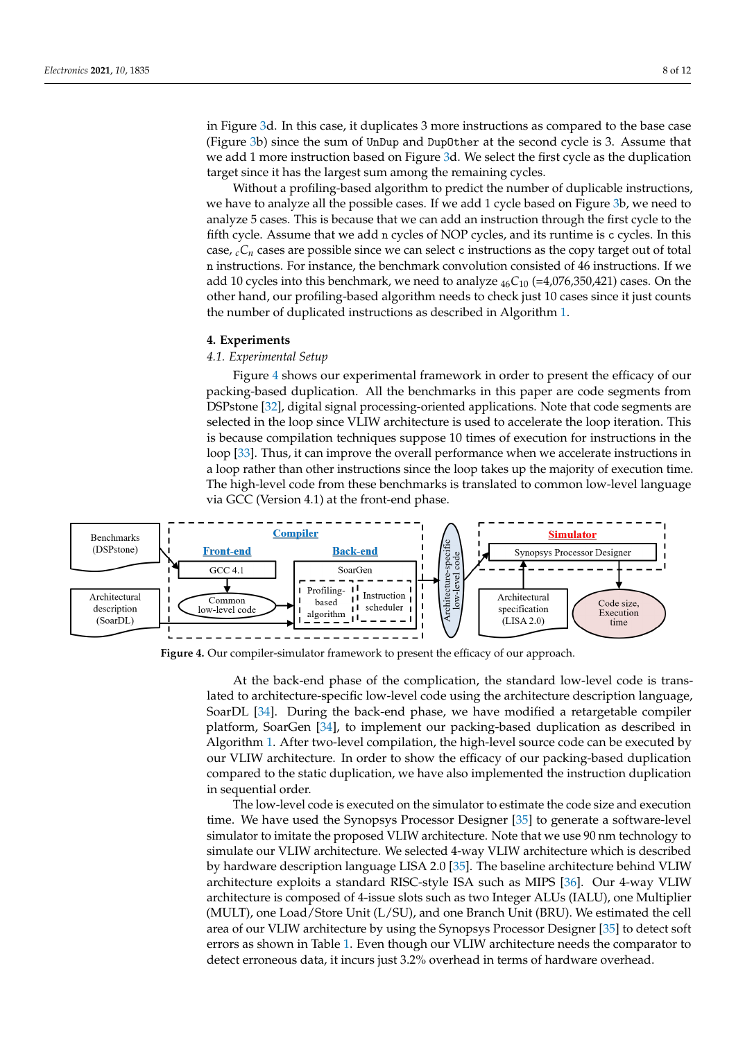in Figure [3d](#page-6-1). In this case, it duplicates 3 more instructions as compared to the base case (Figure [3b](#page-6-1)) since the sum of UnDup and DupOther at the second cycle is 3. Assume that we add 1 more instruction based on Figure [3d](#page-6-1). We select the first cycle as the duplication target since it has the largest sum among the remaining cycles.

Without a profiling-based algorithm to predict the number of duplicable instructions, we have to analyze all the possible cases. If we add 1 cycle based on Figure [3b](#page-6-1), we need to analyze 5 cases. This is because that we can add an instruction through the first cycle to the fifth cycle. Assume that we add n cycles of NOP cycles, and its runtime is c cycles. In this case,  $_cC_n$  cases are possible since we can select c instructions as the copy target out of total n instructions. For instance, the benchmark convolution consisted of 46 instructions. If we add 10 cycles into this benchmark, we need to analyze <sup>46</sup>*C*<sup>10</sup> (=4,076,350,421) cases. On the other hand, our profiling-based algorithm needs to check just 10 cases since it just counts the number of duplicated instructions as described in Algorithm [1.](#page-6-0)

#### <span id="page-7-0"></span>**4. Experiments**

# *4.1. Experimental Setup*

Figure [4](#page-7-1) shows our experimental framework in order to present the efficacy of our packing-based duplication. All the benchmarks in this paper are code segments from DSPstone [\[32\]](#page-11-3), digital signal processing-oriented applications. Note that code segments are selected in the loop since VLIW architecture is used to accelerate the loop iteration. This is because compilation techniques suppose 10 times of execution for instructions in the loop [\[33\]](#page-11-4). Thus, it can improve the overall performance when we accelerate instructions in a loop rather than other instructions since the loop takes up the majority of execution time. The high-level code from these benchmarks is translated to common low-level language via GCC (Version 4.1) at the front-end phase.

<span id="page-7-1"></span>

**Figure 4.** Our compiler-simulator framework to present the efficacy of our approach.

At the back-end phase of the complication, the standard low-level code is translated to architecture-specific low-level code using the architecture description language, SoarDL [\[34\]](#page-11-5). During the back-end phase, we have modified a retargetable compiler platform, SoarGen [\[34\]](#page-11-5), to implement our packing-based duplication as described in Algorithm [1.](#page-6-0) After two-level compilation, the high-level source code can be executed by our VLIW architecture. In order to show the efficacy of our packing-based duplication compared to the static duplication, we have also implemented the instruction duplication in sequential order.

The low-level code is executed on the simulator to estimate the code size and execution time. We have used the Synopsys Processor Designer [\[35\]](#page-11-6) to generate a software-level simulator to imitate the proposed VLIW architecture. Note that we use 90 nm technology to simulate our VLIW architecture. We selected 4-way VLIW architecture which is described by hardware description language LISA 2.0 [\[35\]](#page-11-6). The baseline architecture behind VLIW architecture exploits a standard RISC-style ISA such as MIPS [\[36\]](#page-11-7). Our 4-way VLIW architecture is composed of 4-issue slots such as two Integer ALUs (IALU), one Multiplier (MULT), one Load/Store Unit (L/SU), and one Branch Unit (BRU). We estimated the cell area of our VLIW architecture by using the Synopsys Processor Designer [\[35\]](#page-11-6) to detect soft errors as shown in Table [1.](#page-8-0) Even though our VLIW architecture needs the comparator to detect erroneous data, it incurs just 3.2% overhead in terms of hardware overhead.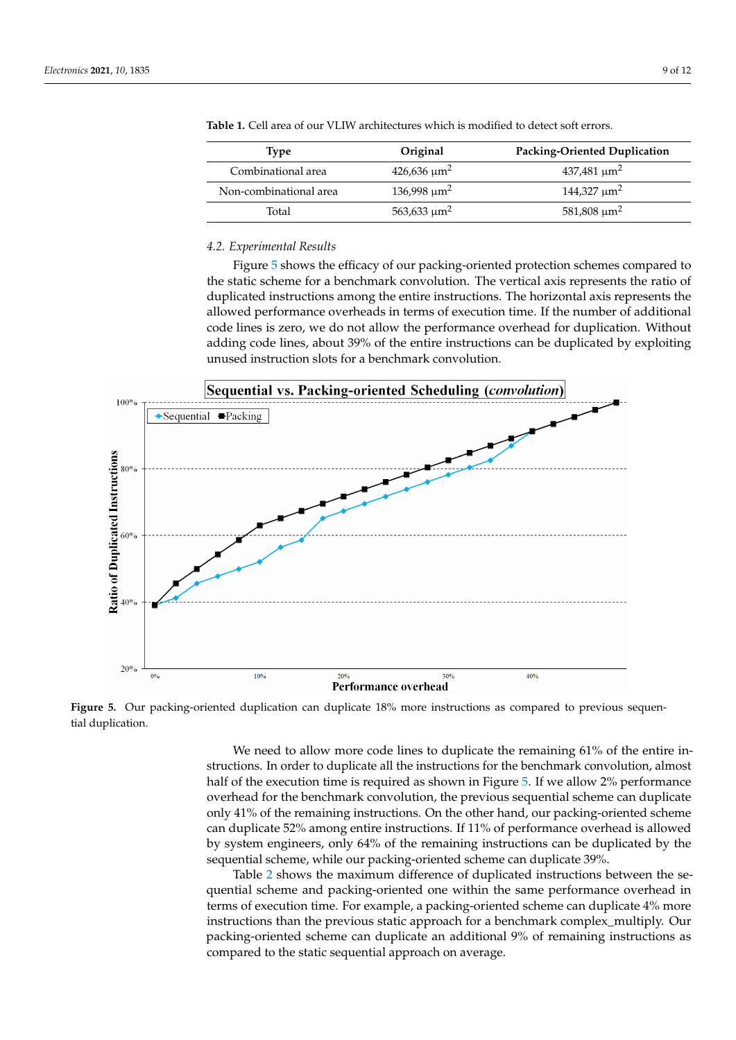| Tvpe                   | Original          | <b>Packing-Oriented Duplication</b> |  |  |
|------------------------|-------------------|-------------------------------------|--|--|
| Combinational area     | $426,636 \mu m^2$ | $437,481 \text{ }\mu\text{m}^2$     |  |  |
| Non-combinational area | $136,998 \mu m^2$ | $144,327 \mu m^2$                   |  |  |
| Total                  | $563,633 \mu m^2$ | $581,808 \mu m^2$                   |  |  |

<span id="page-8-0"></span>**Table 1.** Cell area of our VLIW architectures which is modified to detect soft errors.

# *4.2. Experimental Results*

Figure [5](#page-8-1) shows the efficacy of our packing-oriented protection schemes compared to the static scheme for a benchmark convolution. The vertical axis represents the ratio of duplicated instructions among the entire instructions. The horizontal axis represents the allowed performance overheads in terms of execution time. If the number of additional code lines is zero, we do not allow the performance overhead for duplication. Without adding code lines, about 39% of the entire instructions can be duplicated by exploiting unused instruction slots for a benchmark convolution.

<span id="page-8-1"></span>

Figure 5. Our packing-oriented duplication can duplicate 18% more instructions as compared to previous sequential duplication.

> We need to allow more code lines to duplicate the remaining 61% of the entire instructions. In order to duplicate all the instructions for the benchmark convolution, almost half of the execution time is required as shown in Figure [5.](#page-8-1) If we allow 2% performance overhead for the benchmark convolution, the previous sequential scheme can duplicate only 41% of the remaining instructions. On the other hand, our packing-oriented scheme can duplicate 52% among entire instructions. If 11% of performance overhead is allowed by system engineers, only 64% of the remaining instructions can be duplicated by the sequential scheme, while our packing-oriented scheme can duplicate 39%.

> Table [2](#page-9-1) shows the maximum difference of duplicated instructions between the sequential scheme and packing-oriented one within the same performance overhead in terms of execution time. For example, a packing-oriented scheme can duplicate 4% more instructions than the previous static approach for a benchmark complex\_multiply. Our packing-oriented scheme can duplicate an additional 9% of remaining instructions as compared to the static sequential approach on average.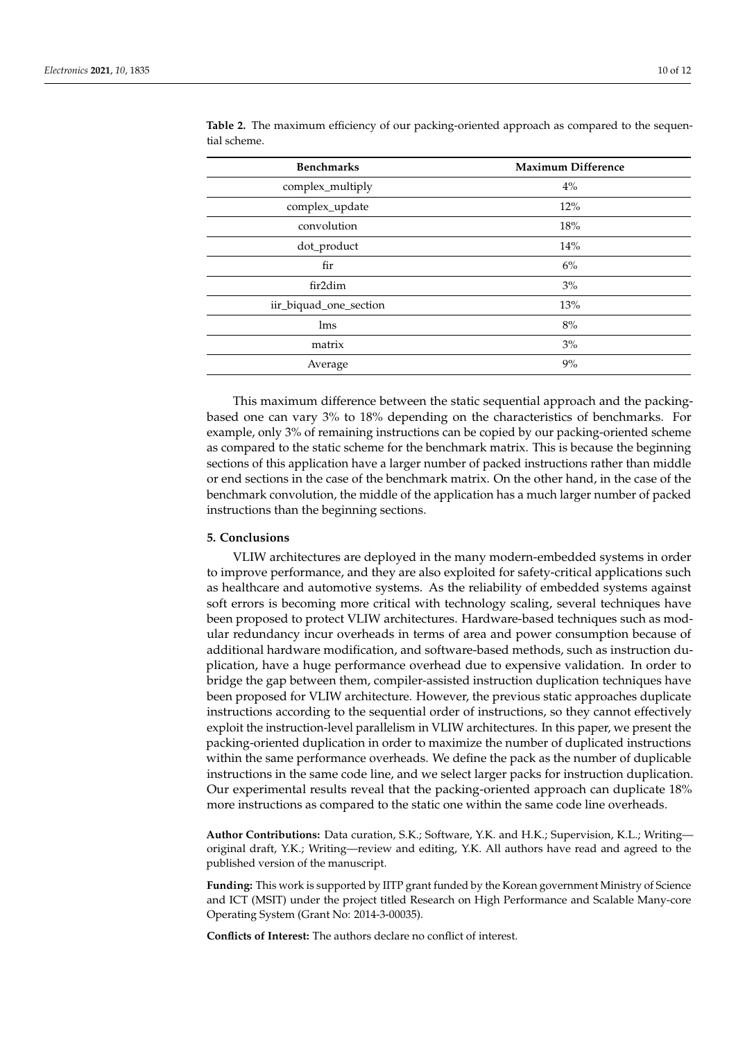| <b>Benchmarks</b>      | <b>Maximum Difference</b> |
|------------------------|---------------------------|
| complex_multiply       | $4\%$                     |
| complex_update         | 12%                       |
| convolution            | 18%                       |
| dot_product            | 14%                       |
| fir                    | 6%                        |
| fir2dim                | 3%                        |
| iir_biquad_one_section | 13%                       |
| lms                    | 8%                        |
| matrix                 | 3%                        |
| Average                | 9%                        |

<span id="page-9-1"></span>**Table 2.** The maximum efficiency of our packing-oriented approach as compared to the sequential scheme.

This maximum difference between the static sequential approach and the packingbased one can vary 3% to 18% depending on the characteristics of benchmarks. For example, only 3% of remaining instructions can be copied by our packing-oriented scheme as compared to the static scheme for the benchmark matrix. This is because the beginning sections of this application have a larger number of packed instructions rather than middle or end sections in the case of the benchmark matrix. On the other hand, in the case of the benchmark convolution, the middle of the application has a much larger number of packed instructions than the beginning sections.

# <span id="page-9-0"></span>**5. Conclusions**

VLIW architectures are deployed in the many modern-embedded systems in order to improve performance, and they are also exploited for safety-critical applications such as healthcare and automotive systems. As the reliability of embedded systems against soft errors is becoming more critical with technology scaling, several techniques have been proposed to protect VLIW architectures. Hardware-based techniques such as modular redundancy incur overheads in terms of area and power consumption because of additional hardware modification, and software-based methods, such as instruction duplication, have a huge performance overhead due to expensive validation. In order to bridge the gap between them, compiler-assisted instruction duplication techniques have been proposed for VLIW architecture. However, the previous static approaches duplicate instructions according to the sequential order of instructions, so they cannot effectively exploit the instruction-level parallelism in VLIW architectures. In this paper, we present the packing-oriented duplication in order to maximize the number of duplicated instructions within the same performance overheads. We define the pack as the number of duplicable instructions in the same code line, and we select larger packs for instruction duplication. Our experimental results reveal that the packing-oriented approach can duplicate 18% more instructions as compared to the static one within the same code line overheads.

**Author Contributions:** Data curation, S.K.; Software, Y.K. and H.K.; Supervision, K.L.; Writing original draft, Y.K.; Writing—review and editing, Y.K. All authors have read and agreed to the published version of the manuscript.

**Funding:** This work is supported by IITP grant funded by the Korean government Ministry of Science and ICT (MSIT) under the project titled Research on High Performance and Scalable Many-core Operating System (Grant No: 2014-3-00035).

**Conflicts of Interest:** The authors declare no conflict of interest.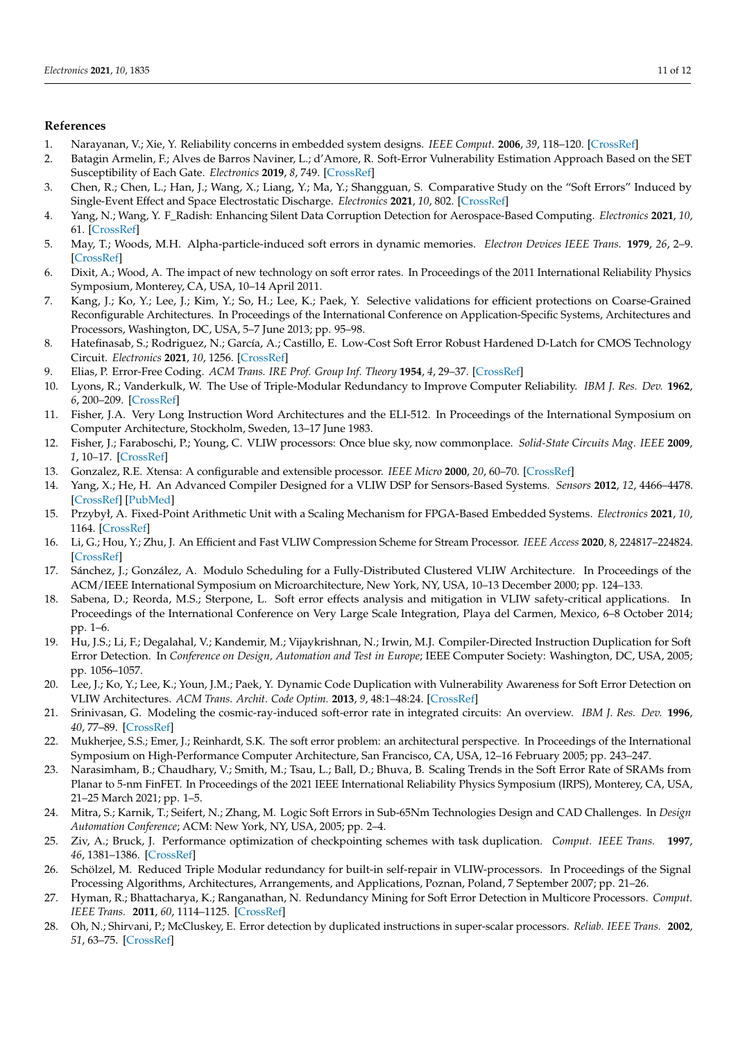## **References**

- <span id="page-10-0"></span>1. Narayanan, V.; Xie, Y. Reliability concerns in embedded system designs. *IEEE Comput.* **2006**, *39*, 118–120. [\[CrossRef\]](http://doi.org/10.1109/MC.2006.31)
- <span id="page-10-1"></span>2. Batagin Armelin, F.; Alves de Barros Naviner, L.; d'Amore, R. Soft-Error Vulnerability Estimation Approach Based on the SET Susceptibility of Each Gate. *Electronics* **2019**, *8*, 749. [\[CrossRef\]](http://dx.doi.org/10.3390/electronics8070749)
- <span id="page-10-2"></span>3. Chen, R.; Chen, L.; Han, J.; Wang, X.; Liang, Y.; Ma, Y.; Shangguan, S. Comparative Study on the "Soft Errors" Induced by Single-Event Effect and Space Electrostatic Discharge. *Electronics* **2021**, *10*, 802. [\[CrossRef\]](http://dx.doi.org/10.3390/electronics10070802)
- <span id="page-10-3"></span>4. Yang, N.; Wang, Y. F\_Radish: Enhancing Silent Data Corruption Detection for Aerospace-Based Computing. *Electronics* **2021**, *10*, 61. [\[CrossRef\]](http://dx.doi.org/10.3390/electronics10010061)
- <span id="page-10-4"></span>5. May, T.; Woods, M.H. Alpha-particle-induced soft errors in dynamic memories. *Electron Devices IEEE Trans.* **1979**, *26*, 2–9. [\[CrossRef\]](http://dx.doi.org/10.1109/T-ED.1979.19370)
- <span id="page-10-5"></span>6. Dixit, A.; Wood, A. The impact of new technology on soft error rates. In Proceedings of the 2011 International Reliability Physics Symposium, Monterey, CA, USA, 10–14 April 2011.
- <span id="page-10-6"></span>7. Kang, J.; Ko, Y.; Lee, J.; Kim, Y.; So, H.; Lee, K.; Paek, Y. Selective validations for efficient protections on Coarse-Grained Reconfigurable Architectures. In Proceedings of the International Conference on Application-Specific Systems, Architectures and Processors, Washington, DC, USA, 5–7 June 2013; pp. 95–98.
- <span id="page-10-7"></span>8. Hatefinasab, S.; Rodriguez, N.; García, A.; Castillo, E. Low-Cost Soft Error Robust Hardened D-Latch for CMOS Technology Circuit. *Electronics* **2021**, *10*, 1256. [\[CrossRef\]](http://dx.doi.org/10.3390/electronics10111256)
- <span id="page-10-8"></span>9. Elias, P. Error-Free Coding. *ACM Trans. IRE Prof. Group Inf. Theory* **1954**, *4*, 29–37. [\[CrossRef\]](http://dx.doi.org/10.1109/TIT.1954.1057464)
- <span id="page-10-9"></span>10. Lyons, R.; Vanderkulk, W. The Use of Triple-Modular Redundancy to Improve Computer Reliability. *IBM J. Res. Dev.* **1962**, *6*, 200–209. [\[CrossRef\]](http://dx.doi.org/10.1147/rd.62.0200)
- <span id="page-10-10"></span>11. Fisher, J.A. Very Long Instruction Word Architectures and the ELI-512. In Proceedings of the International Symposium on Computer Architecture, Stockholm, Sweden, 13–17 June 1983.
- <span id="page-10-11"></span>12. Fisher, J.; Faraboschi, P.; Young, C. VLIW processors: Once blue sky, now commonplace. *Solid-State Circuits Mag. IEEE* **2009**, *1*, 10–17. [\[CrossRef\]](http://dx.doi.org/10.1109/MSSC.2009.932433)
- 13. Gonzalez, R.E. Xtensa: A configurable and extensible processor. *IEEE Micro* **2000**, *20*, 60–70. [\[CrossRef\]](http://dx.doi.org/10.1109/40.848473)
- <span id="page-10-12"></span>14. Yang, X.; He, H. An Advanced Compiler Designed for a VLIW DSP for Sensors-Based Systems. *Sensors* **2012**, *12*, 4466–4478. [\[CrossRef\]](http://dx.doi.org/10.3390/s120404466) [\[PubMed\]](http://www.ncbi.nlm.nih.gov/pubmed/22666040)
- <span id="page-10-13"></span>15. Przybył, A. Fixed-Point Arithmetic Unit with a Scaling Mechanism for FPGA-Based Embedded Systems. *Electronics* **2021**, *10*, 1164. [\[CrossRef\]](http://dx.doi.org/10.3390/electronics10101164)
- <span id="page-10-14"></span>16. Li, G.; Hou, Y.; Zhu, J. An Efficient and Fast VLIW Compression Scheme for Stream Processor. *IEEE Access* **2020**, 8, 224817–224824. [\[CrossRef\]](http://dx.doi.org/10.1109/ACCESS.2020.2985501)
- <span id="page-10-15"></span>17. Sánchez, J.; González, A. Modulo Scheduling for a Fully-Distributed Clustered VLIW Architecture. In Proceedings of the ACM/IEEE International Symposium on Microarchitecture, New York, NY, USA, 10–13 December 2000; pp. 124–133.
- <span id="page-10-16"></span>18. Sabena, D.; Reorda, M.S.; Sterpone, L. Soft error effects analysis and mitigation in VLIW safety-critical applications. In Proceedings of the International Conference on Very Large Scale Integration, Playa del Carmen, Mexico, 6–8 October 2014; pp. 1–6.
- <span id="page-10-17"></span>19. Hu, J.S.; Li, F.; Degalahal, V.; Kandemir, M.; Vijaykrishnan, N.; Irwin, M.J. Compiler-Directed Instruction Duplication for Soft Error Detection. In *Conference on Design, Automation and Test in Europe*; IEEE Computer Society: Washington, DC, USA, 2005; pp. 1056–1057.
- <span id="page-10-18"></span>20. Lee, J.; Ko, Y.; Lee, K.; Youn, J.M.; Paek, Y. Dynamic Code Duplication with Vulnerability Awareness for Soft Error Detection on VLIW Architectures. *ACM Trans. Archit. Code Optim.* **2013**, *9*, 48:1–48:24. [\[CrossRef\]](http://dx.doi.org/10.1145/2400682.2400707)
- <span id="page-10-19"></span>21. Srinivasan, G. Modeling the cosmic-ray-induced soft-error rate in integrated circuits: An overview. *IBM J. Res. Dev.* **1996**, *40*, 77–89. [\[CrossRef\]](http://dx.doi.org/10.1147/rd.401.0077)
- <span id="page-10-20"></span>22. Mukherjee, S.S.; Emer, J.; Reinhardt, S.K. The soft error problem: an architectural perspective. In Proceedings of the International Symposium on High-Performance Computer Architecture, San Francisco, CA, USA, 12–16 February 2005; pp. 243–247.
- <span id="page-10-21"></span>23. Narasimham, B.; Chaudhary, V.; Smith, M.; Tsau, L.; Ball, D.; Bhuva, B. Scaling Trends in the Soft Error Rate of SRAMs from Planar to 5-nm FinFET. In Proceedings of the 2021 IEEE International Reliability Physics Symposium (IRPS), Monterey, CA, USA, 21–25 March 2021; pp. 1–5.
- <span id="page-10-22"></span>24. Mitra, S.; Karnik, T.; Seifert, N.; Zhang, M. Logic Soft Errors in Sub-65Nm Technologies Design and CAD Challenges. In *Design Automation Conference*; ACM: New York, NY, USA, 2005; pp. 2–4.
- <span id="page-10-23"></span>25. Ziv, A.; Bruck, J. Performance optimization of checkpointing schemes with task duplication. *Comput. IEEE Trans.* **1997**, *46*, 1381–1386. [\[CrossRef\]](http://dx.doi.org/10.1109/12.641939)
- <span id="page-10-24"></span>26. Schölzel, M. Reduced Triple Modular redundancy for built-in self-repair in VLIW-processors. In Proceedings of the Signal Processing Algorithms, Architectures, Arrangements, and Applications, Poznan, Poland, 7 September 2007; pp. 21–26.
- <span id="page-10-25"></span>27. Hyman, R.; Bhattacharya, K.; Ranganathan, N. Redundancy Mining for Soft Error Detection in Multicore Processors. *Comput. IEEE Trans.* **2011**, *60*, 1114–1125. [\[CrossRef\]](http://dx.doi.org/10.1109/TC.2010.168)
- <span id="page-10-26"></span>28. Oh, N.; Shirvani, P.; McCluskey, E. Error detection by duplicated instructions in super-scalar processors. *Reliab. IEEE Trans.* **2002**, *51*, 63–75. [\[CrossRef\]](http://dx.doi.org/10.1109/24.994913)